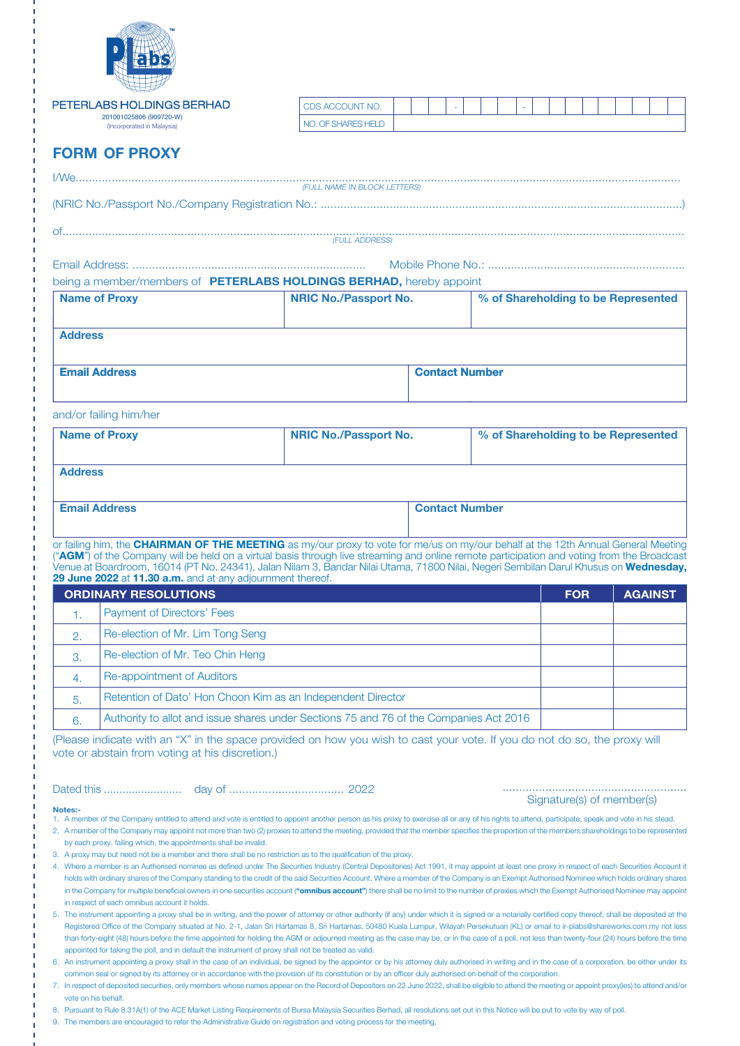

|                             | PETERLABS HOLDINGS BERHAD<br>201001025806 (909720-W)                                                                                                                                                                                                                                                                                                                                                                                                                   | CDS ACCOUNT NO.              |                              |  |                       |  |                                     |  |  |                           |  |  |  |                                     |  |  |
|-----------------------------|------------------------------------------------------------------------------------------------------------------------------------------------------------------------------------------------------------------------------------------------------------------------------------------------------------------------------------------------------------------------------------------------------------------------------------------------------------------------|------------------------------|------------------------------|--|-----------------------|--|-------------------------------------|--|--|---------------------------|--|--|--|-------------------------------------|--|--|
|                             | (Incorporated in Malaysia)                                                                                                                                                                                                                                                                                                                                                                                                                                             | NO. OF SHARES HELD           |                              |  |                       |  |                                     |  |  |                           |  |  |  |                                     |  |  |
|                             | <b>FORM OF PROXY</b>                                                                                                                                                                                                                                                                                                                                                                                                                                                   |                              |                              |  |                       |  |                                     |  |  |                           |  |  |  |                                     |  |  |
|                             |                                                                                                                                                                                                                                                                                                                                                                                                                                                                        | (FULL NAME IN BLOCK LETTERS) |                              |  |                       |  |                                     |  |  |                           |  |  |  |                                     |  |  |
|                             |                                                                                                                                                                                                                                                                                                                                                                                                                                                                        |                              |                              |  |                       |  |                                     |  |  |                           |  |  |  |                                     |  |  |
|                             |                                                                                                                                                                                                                                                                                                                                                                                                                                                                        | (FULL ADDRESS)               |                              |  |                       |  |                                     |  |  |                           |  |  |  |                                     |  |  |
|                             |                                                                                                                                                                                                                                                                                                                                                                                                                                                                        |                              |                              |  |                       |  |                                     |  |  |                           |  |  |  |                                     |  |  |
|                             | being a member/members of PETERLABS HOLDINGS BERHAD, hereby appoint                                                                                                                                                                                                                                                                                                                                                                                                    |                              |                              |  |                       |  |                                     |  |  |                           |  |  |  |                                     |  |  |
|                             | <b>Name of Proxy</b>                                                                                                                                                                                                                                                                                                                                                                                                                                                   |                              | <b>NRIC No./Passport No.</b> |  |                       |  |                                     |  |  |                           |  |  |  | % of Shareholding to be Represented |  |  |
| <b>Address</b>              |                                                                                                                                                                                                                                                                                                                                                                                                                                                                        |                              |                              |  |                       |  |                                     |  |  |                           |  |  |  |                                     |  |  |
|                             | <b>Email Address</b>                                                                                                                                                                                                                                                                                                                                                                                                                                                   |                              | <b>Contact Number</b>        |  |                       |  |                                     |  |  |                           |  |  |  |                                     |  |  |
|                             |                                                                                                                                                                                                                                                                                                                                                                                                                                                                        |                              |                              |  |                       |  |                                     |  |  |                           |  |  |  |                                     |  |  |
|                             | and/or failing him/her                                                                                                                                                                                                                                                                                                                                                                                                                                                 |                              |                              |  |                       |  |                                     |  |  |                           |  |  |  |                                     |  |  |
|                             | <b>Name of Proxy</b>                                                                                                                                                                                                                                                                                                                                                                                                                                                   |                              | <b>NRIC No./Passport No.</b> |  |                       |  | % of Shareholding to be Represented |  |  |                           |  |  |  |                                     |  |  |
| <b>Address</b>              |                                                                                                                                                                                                                                                                                                                                                                                                                                                                        |                              |                              |  |                       |  |                                     |  |  |                           |  |  |  |                                     |  |  |
|                             |                                                                                                                                                                                                                                                                                                                                                                                                                                                                        |                              |                              |  |                       |  |                                     |  |  |                           |  |  |  |                                     |  |  |
|                             | <b>Email Address</b>                                                                                                                                                                                                                                                                                                                                                                                                                                                   |                              |                              |  | <b>Contact Number</b> |  |                                     |  |  |                           |  |  |  |                                     |  |  |
|                             | or failing him, the CHAIRMAN OF THE MEETING as my/our proxy to vote for me/us on my/our behalf at the 12th Annual General Meeting                                                                                                                                                                                                                                                                                                                                      |                              |                              |  |                       |  |                                     |  |  |                           |  |  |  |                                     |  |  |
|                             | ("AGM") of the Company will be held on a virtual basis through live streaming and online remote participation and voting from the Broadcast<br>Venue at Boardroom, 16014 (PT No. 24341), Jalan Nilam 3, Bandar Nilai Utama, 71800 Nilai, Negeri Sembilan Darul Khusus on Wednesday,                                                                                                                                                                                    |                              |                              |  |                       |  |                                     |  |  |                           |  |  |  |                                     |  |  |
|                             | 29 June 2022 at 11.30 a.m. and at any adjournment thereof.                                                                                                                                                                                                                                                                                                                                                                                                             |                              |                              |  |                       |  |                                     |  |  |                           |  |  |  |                                     |  |  |
| <b>ORDINARY RESOLUTIONS</b> |                                                                                                                                                                                                                                                                                                                                                                                                                                                                        |                              |                              |  |                       |  |                                     |  |  | <b>FOR</b>                |  |  |  | <b>AGAINST</b>                      |  |  |
| $\mathbf{1}$ .              | Payment of Directors' Fees                                                                                                                                                                                                                                                                                                                                                                                                                                             |                              |                              |  |                       |  |                                     |  |  |                           |  |  |  |                                     |  |  |
| 2.                          | Re-election of Mr. Lim Tong Seng                                                                                                                                                                                                                                                                                                                                                                                                                                       |                              |                              |  |                       |  |                                     |  |  |                           |  |  |  |                                     |  |  |
| 3.                          | Re-election of Mr. Teo Chin Heng                                                                                                                                                                                                                                                                                                                                                                                                                                       |                              |                              |  |                       |  |                                     |  |  |                           |  |  |  |                                     |  |  |
| 4.                          | Re-appointment of Auditors                                                                                                                                                                                                                                                                                                                                                                                                                                             |                              |                              |  |                       |  |                                     |  |  |                           |  |  |  |                                     |  |  |
| 5.                          | Retention of Dato' Hon Choon Kim as an Independent Director                                                                                                                                                                                                                                                                                                                                                                                                            |                              |                              |  |                       |  |                                     |  |  |                           |  |  |  |                                     |  |  |
| 6.                          | Authority to allot and issue shares under Sections 75 and 76 of the Companies Act 2016                                                                                                                                                                                                                                                                                                                                                                                 |                              |                              |  |                       |  |                                     |  |  |                           |  |  |  |                                     |  |  |
|                             | (Please indicate with an "X" in the space provided on how you wish to cast your vote. If you do not do so, the proxy will<br>vote or abstain from voting at his discretion.)                                                                                                                                                                                                                                                                                           |                              |                              |  |                       |  |                                     |  |  |                           |  |  |  |                                     |  |  |
|                             |                                                                                                                                                                                                                                                                                                                                                                                                                                                                        |                              |                              |  |                       |  |                                     |  |  |                           |  |  |  |                                     |  |  |
| <b>Notes:-</b>              |                                                                                                                                                                                                                                                                                                                                                                                                                                                                        |                              |                              |  |                       |  |                                     |  |  | Signature(s) of member(s) |  |  |  |                                     |  |  |
|                             | 1. A member of the Company entitled to attend and vote is entitled to appoint another person as his proxy to exercise all or any of his rights to attend, participate, speak and vote in his stead.<br>2. A member of the Company may appoint not more than two (2) proxies to attend the meeting, provided that the member specifies the proportion of the members shareholdings to be represented<br>by each proxy, failing which, the appointments shall be invalid |                              |                              |  |                       |  |                                     |  |  |                           |  |  |  |                                     |  |  |

3. A proxy may but need not be a member and there shall be no restriction as to the qualification of the proxy.

- 4. Where a member is an Authorised nominee as defined under The Securities Industry (Central Depositories) Act 1991, it may appoint at least one proxy in respect of each Securities Account it holds with ordinary shares of the Company standing to the credit of the said Securities Account. Where a member of the Company is an Exempt Authorised Nominee which holds ordinary shares in the Company for multiple beneficial owners in one securities account ("omnibus account") there shall be no limit to the number of proxies which the Exempt Authorised Nominee may appoint in respect of each omnibus account it holds.
- 5. The instrument appointing a proxy shall be in writing, and the power of attorney or other authority (if any) under which it is signed or a notarially certified copy thereof, shall be deposited at the Registered Office of the Company situated at No. 2-1, Jalan Sri Hartamas 8, Sri Hartamas, 50480 Kuala Lumpur, Wilayah Persekutuan (KL) or email to ir-plabs@shareworks.com.my not less than forty-eight (48) hours before the time appointed for holding the AGM or adjourned meeting as the case may be, or in the case of a poll, not less than twenty-four (24) hours before the time appointed for taking the poll, and in default the instrument of proxy shall not be treated as valid.
- 6. An instrument appointing a proxy shall in the case of an individual, be signed by the appointor or by his attorney duly authorised in writing and in the case of a corporation, be either under its common seal or signed by its attorney or in accordance with the provision of its constitution or by an officer duly authorised on behalf of the corporation.
- 7. In respect of deposited securities, only members whose names appear on the Record of Depositors on 22 June 2022, shall be eligible to attend the meeting or appoint proxy(ies) to attend and/or vote on his behalf.
- 8. Pursuant to Rule 8.31A(1) of the ACE Market Listing Requirements of Bursa Malaysia Securities Berhad, all resolutions set out in this Notice will be put to vote by way of poll.

9. The members are encouraged to refer the Administrative Guide on registration and voting process for the meeting.